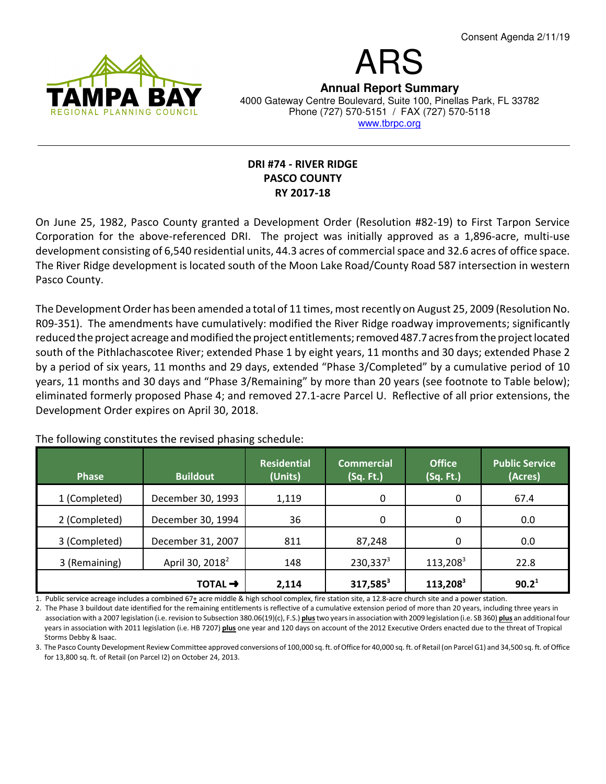

# ARS **Annual Report Summary** 4000 Gateway Centre Boulevard, Suite 100, Pinellas Park, FL 33782 Phone (727) 570-5151 / FAX (727) 570-5118 www.tbrpc.org

## DRI #74 - RIVER RIDGE PASCO COUNTY RY 2017-18

On June 25, 1982, Pasco County granted a Development Order (Resolution #82-19) to First Tarpon Service Corporation for the above-referenced DRI. The project was initially approved as a 1,896-acre, multi-use development consisting of 6,540 residential units, 44.3 acres of commercial space and 32.6 acres of office space. The River Ridge development is located south of the Moon Lake Road/County Road 587 intersection in western Pasco County.

The Development Order has been amended a total of 11 times, most recently on August 25, 2009 (Resolution No. R09-351). The amendments have cumulatively: modified the River Ridge roadway improvements; significantly reduced the project acreage and modified the project entitlements; removed 487.7 acres from the project located south of the Pithlachascotee River; extended Phase 1 by eight years, 11 months and 30 days; extended Phase 2 by a period of six years, 11 months and 29 days, extended "Phase 3/Completed" by a cumulative period of 10 years, 11 months and 30 days and "Phase 3/Remaining" by more than 20 years (see footnote to Table below); eliminated formerly proposed Phase 4; and removed 27.1-acre Parcel U. Reflective of all prior extensions, the Development Order expires on April 30, 2018.

| <b>Phase</b>  | <b>Buildout</b>             | <b>Residential</b><br>(Units) | <b>Commercial</b><br>(Sq. Ft.) | <b>Office</b><br>(Sq. Ft.) | <b>Public Service</b><br>(Acres) |
|---------------|-----------------------------|-------------------------------|--------------------------------|----------------------------|----------------------------------|
| 1 (Completed) | December 30, 1993           | 1,119                         | 0                              | 0                          | 67.4                             |
| 2 (Completed) | December 30, 1994           | 36                            | 0                              | 0                          | 0.0                              |
| 3 (Completed) | December 31, 2007           | 811                           | 87,248                         | 0                          | 0.0                              |
| 3 (Remaining) | April 30, 2018 <sup>2</sup> | 148                           | 230,337 <sup>3</sup>           | $113,208^3$                | 22.8                             |
|               | TOTAL $\rightarrow$         | 2,114                         | $317,585^3$                    | 113,208 <sup>3</sup>       | 90.2 <sup>1</sup>                |

The following constitutes the revised phasing schedule:

1. Public service acreage includes a combined 67 $\pm$  acre middle & high school complex, fire station site, a 12.8-acre church site and a power station.

2. The Phase 3 buildout date identified for the remaining entitlements is reflective of a cumulative extension period of more than 20 years, including three years in association with a 2007 legislation (i.e. revision to Subsection 380.06(19)(c), F.S.) plus two years in association with 2009 legislation (i.e. SB 360) plus an additional four years in association with 2011 legislation (i.e. HB 7207) plus one year and 120 days on account of the 2012 Executive Orders enacted due to the threat of Tropical Storms Debby & Isaac.

3. The Pasco County Development Review Committee approved conversions of 100,000 sq. ft. of Office for 40,000 sq. ft. of Retail (on Parcel G1) and 34,500 sq. ft. of Office for 13,800 sq. ft. of Retail (on Parcel I2) on October 24, 2013.